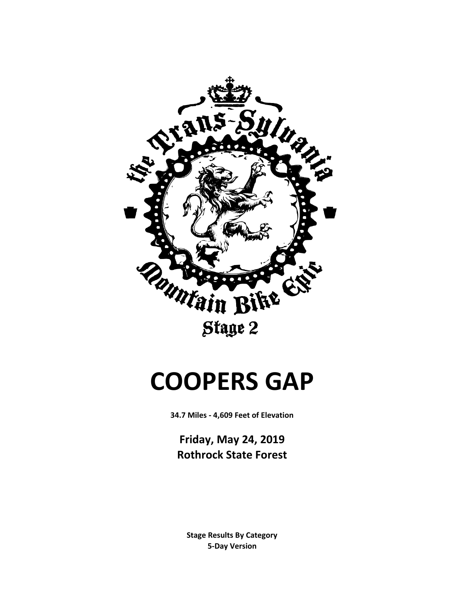

# **COOPERS GAP**

**34.7 Miles - 4,609 Feet of Elevation**

**Friday, May 24, 2019 Rothrock State Forest**

**5-Day Version Stage Results By Category**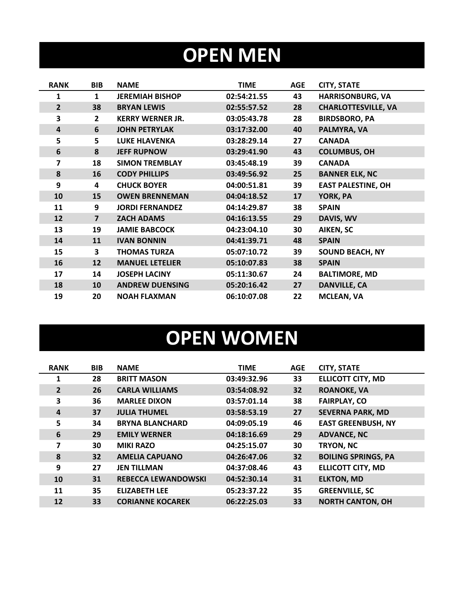## **OPEN MEN**

| <b>RANK</b>    | <b>BIB</b>     | <b>NAME</b>             | <b>TIME</b> | <b>AGE</b> | <b>CITY, STATE</b>         |
|----------------|----------------|-------------------------|-------------|------------|----------------------------|
| 1              | 1              | <b>JEREMIAH BISHOP</b>  | 02:54:21.55 | 43         | <b>HARRISONBURG, VA</b>    |
| $\overline{2}$ | 38             | <b>BRYAN LEWIS</b>      | 02:55:57.52 | 28         | <b>CHARLOTTESVILLE, VA</b> |
| 3              | $\overline{2}$ | <b>KERRY WERNER JR.</b> | 03:05:43.78 | 28         | <b>BIRDSBORO, PA</b>       |
| 4              | 6              | <b>JOHN PETRYLAK</b>    | 03:17:32.00 | 40         | PALMYRA, VA                |
| 5              | 5              | <b>LUKE HLAVENKA</b>    | 03:28:29.14 | 27         | <b>CANADA</b>              |
| 6              | 8              | <b>JEFF RUPNOW</b>      | 03:29:41.90 | 43         | <b>COLUMBUS, OH</b>        |
| 7              | 18             | <b>SIMON TREMBLAY</b>   | 03:45:48.19 | 39         | <b>CANADA</b>              |
| 8              | 16             | <b>CODY PHILLIPS</b>    | 03:49:56.92 | 25         | <b>BANNER ELK, NC</b>      |
| 9              | 4              | <b>CHUCK BOYER</b>      | 04:00:51.81 | 39         | <b>EAST PALESTINE, OH</b>  |
| 10             | 15             | <b>OWEN BRENNEMAN</b>   | 04:04:18.52 | 17         | YORK, PA                   |
| 11             | 9              | <b>JORDI FERNANDEZ</b>  | 04:14:29.87 | 38         | <b>SPAIN</b>               |
| 12             | $\overline{7}$ | <b>ZACH ADAMS</b>       | 04:16:13.55 | 29         | DAVIS, WV                  |
| 13             | 19             | <b>JAMIE BABCOCK</b>    | 04:23:04.10 | 30         | AIKEN, SC                  |
| 14             | 11             | <b>IVAN BONNIN</b>      | 04:41:39.71 | 48         | <b>SPAIN</b>               |
| 15             | 3              | <b>THOMAS TURZA</b>     | 05:07:10.72 | 39         | <b>SOUND BEACH, NY</b>     |
| 16             | 12             | <b>MANUEL LETELIER</b>  | 05:10:07.83 | 38         | <b>SPAIN</b>               |
| 17             | 14             | <b>JOSEPH LACINY</b>    | 05:11:30.67 | 24         | <b>BALTIMORE, MD</b>       |
| 18             | 10             | <b>ANDREW DUENSING</b>  | 05:20:16.42 | 27         | <b>DANVILLE, CA</b>        |
| 19             | 20             | <b>NOAH FLAXMAN</b>     | 06:10:07.08 | 22         | <b>MCLEAN, VA</b>          |

# **OPEN WOMEN**

| <b>RANK</b>    | <b>BIB</b>      | <b>NAME</b>                | <b>TIME</b> | <b>AGE</b> | <b>CITY, STATE</b>         |
|----------------|-----------------|----------------------------|-------------|------------|----------------------------|
| $\mathbf{1}$   | 28              | <b>BRITT MASON</b>         | 03:49:32.96 | 33         | <b>ELLICOTT CITY, MD</b>   |
| $\overline{2}$ | 26              | <b>CARLA WILLIAMS</b>      | 03:54:08.92 | 32         | <b>ROANOKE, VA</b>         |
| 3              | 36              | <b>MARLEE DIXON</b>        | 03:57:01.14 | 38         | <b>FAIRPLAY, CO</b>        |
| 4              | 37              | <b>JULIA THUMEL</b>        | 03:58:53.19 | 27         | <b>SEVERNA PARK, MD</b>    |
| 5              | 34              | <b>BRYNA BLANCHARD</b>     | 04:09:05.19 | 46         | <b>EAST GREENBUSH, NY</b>  |
| 6              | 29              | <b>EMILY WERNER</b>        | 04:18:16.69 | 29         | <b>ADVANCE, NC</b>         |
| 7              | 30              | <b>MIKI RAZO</b>           | 04:25:15.07 | 30         | TRYON, NC                  |
| 8              | 32 <sub>2</sub> | <b>AMELIA CAPUANO</b>      | 04:26:47.06 | 32         | <b>BOILING SPRINGS, PA</b> |
| 9              | 27              | <b>JEN TILLMAN</b>         | 04:37:08.46 | 43         | <b>ELLICOTT CITY, MD</b>   |
| 10             | 31              | <b>REBECCA LEWANDOWSKI</b> | 04:52:30.14 | 31         | <b>ELKTON, MD</b>          |
| 11             | 35              | <b>ELIZABETH LEE</b>       | 05:23:37.22 | 35         | <b>GREENVILLE, SC</b>      |
| 12             | 33              | <b>CORIANNE KOCAREK</b>    | 06:22:25.03 | 33         | <b>NORTH CANTON, OH</b>    |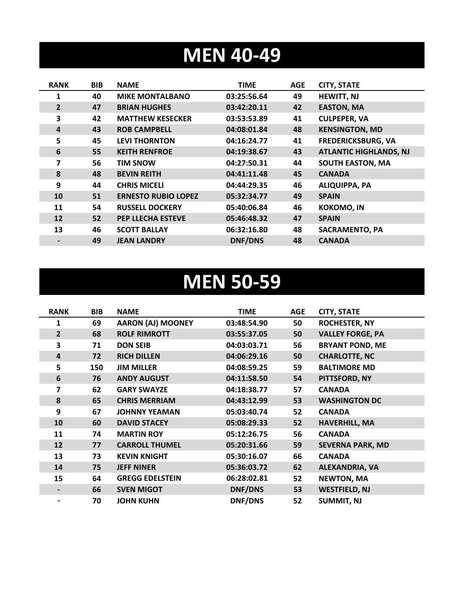### **MEN 40-49**

| <b>RANK</b>    | <b>BIB</b> | <b>NAME</b>                | <b>TIME</b> | <b>AGE</b> | <b>CITY, STATE</b>            |
|----------------|------------|----------------------------|-------------|------------|-------------------------------|
| 1              | 40         | <b>MIKE MONTALBANO</b>     | 03:25:56.64 | 49         | <b>HEWITT, NJ</b>             |
| $\overline{2}$ | 47         | <b>BRIAN HUGHES</b>        | 03:42:20.11 | 42         | <b>EASTON, MA</b>             |
| 3              | 42         | <b>MATTHEW KESECKER</b>    | 03:53:53.89 | 41         | <b>CULPEPER, VA</b>           |
| 4              | 43         | <b>ROB CAMPBELL</b>        | 04:08:01.84 | 48         | <b>KENSINGTON, MD</b>         |
| 5              | 45         | <b>LEVI THORNTON</b>       | 04:16:24.77 | 41         | <b>FREDERICKSBURG, VA</b>     |
| 6              | 55         | <b>KEITH RENFROE</b>       | 04:19:38.67 | 43         | <b>ATLANTIC HIGHLANDS, NJ</b> |
| 7              | 56         | <b>TIM SNOW</b>            | 04:27:50.31 | 44         | <b>SOUTH EASTON, MA</b>       |
| 8              | 48         | <b>BEVIN REITH</b>         | 04:41:11.48 | 45         | <b>CANADA</b>                 |
| 9              | 44         | <b>CHRIS MICELI</b>        | 04:44:29.35 | 46         | <b>ALIQUIPPA, PA</b>          |
| 10             | 51         | <b>ERNESTO RUBIO LOPEZ</b> | 05:32:34.77 | 49         | <b>SPAIN</b>                  |
| 11             | 54         | <b>RUSSELL DOCKERY</b>     | 05:40:06.84 | 46         | <b>KOKOMO, IN</b>             |
| 12             | 52         | PEP LLECHA ESTEVE          | 05:46:48.32 | 47         | <b>SPAIN</b>                  |
| 13             | 46         | <b>SCOTT BALLAY</b>        | 06:32:16.80 | 48         | <b>SACRAMENTO, PA</b>         |
|                | 49         | <b>JEAN LANDRY</b>         | DNF/DNS     | 48         | <b>CANADA</b>                 |

#### **MEN 50-59**

| <b>RANK</b>    | <b>BIB</b> | <b>NAME</b>              | <b>TIME</b>    | <b>AGE</b> | <b>CITY, STATE</b>      |
|----------------|------------|--------------------------|----------------|------------|-------------------------|
| 1              | 69         | <b>AARON (AJ) MOONEY</b> | 03:48:54.90    | 50         | <b>ROCHESTER, NY</b>    |
| $\overline{2}$ | 68         | <b>ROLF RIMROTT</b>      | 03:55:37.05    | 50         | <b>VALLEY FORGE, PA</b> |
| 3              | 71         | <b>DON SEIB</b>          | 04:03:03.71    | 56         | <b>BRYANT POND, ME</b>  |
| 4              | 72         | <b>RICH DILLEN</b>       | 04:06:29.16    | 50         | <b>CHARLOTTE, NC</b>    |
| 5              | 150        | <b>JIM MILLER</b>        | 04:08:59.25    | 59         | <b>BALTIMORE MD</b>     |
| 6              | 76         | <b>ANDY AUGUST</b>       | 04:11:58.50    | 54         | PITTSFORD, NY           |
| 7              | 62         | <b>GARY SWAYZE</b>       | 04:18:38.77    | 57         | <b>CANADA</b>           |
| 8              | 65         | <b>CHRIS MERRIAM</b>     | 04:43:12.99    | 53         | <b>WASHINGTON DC</b>    |
| 9              | 67         | <b>JOHNNY YEAMAN</b>     | 05:03:40.74    | 52         | <b>CANADA</b>           |
| 10             | 60         | <b>DAVID STACEY</b>      | 05:08:29.33    | 52         | <b>HAVERHILL, MA</b>    |
| 11             | 74         | <b>MARTIN ROY</b>        | 05:12:26.75    | 56         | <b>CANADA</b>           |
| 12             | 77         | <b>CARROLL THUMEL</b>    | 05:20:31.66    | 59         | <b>SEVERNA PARK, MD</b> |
| 13             | 73         | <b>KEVIN KNIGHT</b>      | 05:30:16.07    | 66         | <b>CANADA</b>           |
| 14             | 75         | <b>JEFF NINER</b>        | 05:36:03.72    | 62         | ALEXANDRIA, VA          |
| 15             | 64         | <b>GREGG EDELSTEIN</b>   | 06:28:02.81    | 52         | <b>NEWTON, MA</b>       |
|                | 66         | <b>SVEN MIGOT</b>        | <b>DNF/DNS</b> | 53         | <b>WESTFIELD, NJ</b>    |
|                | 70         | <b>JOHN KUHN</b>         | <b>DNF/DNS</b> | 52         | <b>SUMMIT, NJ</b>       |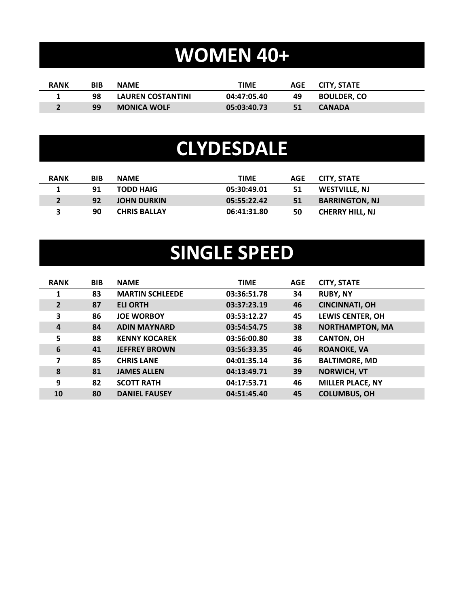# **WOMEN 40+**

| <b>RANK</b> | BIB | <b>NAME</b>              | TIME        | AGE | CITY. STATE        |
|-------------|-----|--------------------------|-------------|-----|--------------------|
|             | 98  | <b>LAUREN COSTANTINI</b> | 04:47:05.40 | 49  | <b>BOULDER. CO</b> |
|             | 99  | <b>MONICA WOLF</b>       | 05:03:40.73 | 51  | <b>CANADA</b>      |

#### **CLYDESDALE**

| <b>RANK</b> | <b>BIB</b> | <b>NAME</b>         | <b>TIME</b> | <b>AGE</b> | CITY. STATE            |
|-------------|------------|---------------------|-------------|------------|------------------------|
|             | 91         | <b>TODD HAIG</b>    | 05:30:49.01 | 51         | WESTVILLE, NJ          |
|             | 92         | <b>JOHN DURKIN</b>  | 05:55:22.42 | -51        | <b>BARRINGTON, NJ</b>  |
|             | 90         | <b>CHRIS BALLAY</b> | 06:41:31.80 | 50         | <b>CHERRY HILL, NJ</b> |

## **SINGLE SPEED**

| <b>RANK</b>    | <b>BIB</b> | <b>NAME</b>            | <b>TIME</b> | <b>AGE</b> | <b>CITY, STATE</b>      |
|----------------|------------|------------------------|-------------|------------|-------------------------|
| 1              | 83         | <b>MARTIN SCHLEEDE</b> | 03:36:51.78 | 34         | <b>RUBY, NY</b>         |
| $\overline{2}$ | 87         | <b>ELI ORTH</b>        | 03:37:23.19 | 46         | <b>CINCINNATI, OH</b>   |
| 3              | 86         | <b>JOE WORBOY</b>      | 03:53:12.27 | 45         | <b>LEWIS CENTER, OH</b> |
| $\overline{a}$ | 84         | <b>ADIN MAYNARD</b>    | 03:54:54.75 | 38         | <b>NORTHAMPTON, MA</b>  |
| 5              | 88         | <b>KENNY KOCAREK</b>   | 03:56:00.80 | 38         | <b>CANTON, OH</b>       |
| 6              | 41         | <b>JEFFREY BROWN</b>   | 03:56:33.35 | 46         | <b>ROANOKE, VA</b>      |
| 7              | 85         | <b>CHRIS LANE</b>      | 04:01:35.14 | 36         | <b>BALTIMORE, MD</b>    |
| 8              | 81         | <b>JAMES ALLEN</b>     | 04:13:49.71 | 39         | <b>NORWICH, VT</b>      |
| 9              | 82         | <b>SCOTT RATH</b>      | 04:17:53.71 | 46         | <b>MILLER PLACE, NY</b> |
| 10             | 80         | <b>DANIEL FAUSEY</b>   | 04:51:45.40 | 45         | <b>COLUMBUS, OH</b>     |